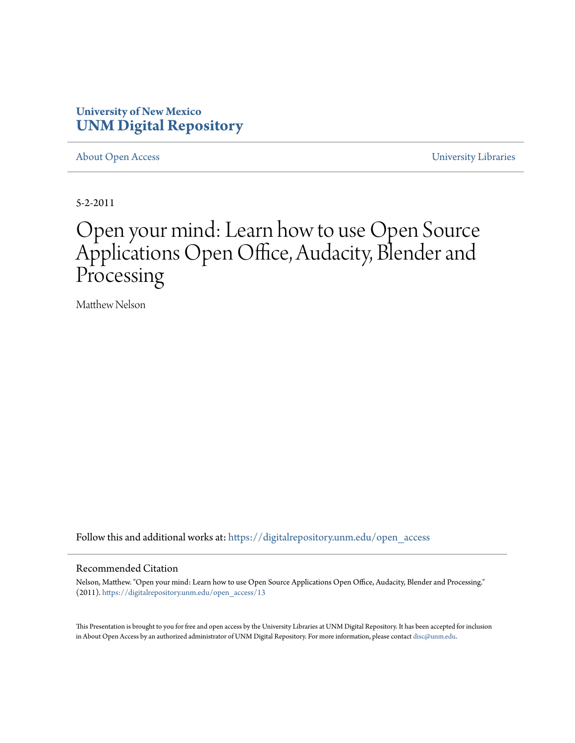#### **University of New Mexico [UNM Digital Repository](https://digitalrepository.unm.edu?utm_source=digitalrepository.unm.edu%2Fopen_access%2F13&utm_medium=PDF&utm_campaign=PDFCoverPages)**

[About Open Access](https://digitalrepository.unm.edu/open_access?utm_source=digitalrepository.unm.edu%2Fopen_access%2F13&utm_medium=PDF&utm_campaign=PDFCoverPages) [University Libraries](https://digitalrepository.unm.edu/libraries?utm_source=digitalrepository.unm.edu%2Fopen_access%2F13&utm_medium=PDF&utm_campaign=PDFCoverPages)

5-2-2011

#### Open your mind: Learn how to use Open Source Applications Open Office, Audacity, Blender and Processing

Matthew Nelson

Follow this and additional works at: [https://digitalrepository.unm.edu/open\\_access](https://digitalrepository.unm.edu/open_access?utm_source=digitalrepository.unm.edu%2Fopen_access%2F13&utm_medium=PDF&utm_campaign=PDFCoverPages)

#### Recommended Citation

Nelson, Matthew. "Open your mind: Learn how to use Open Source Applications Open Office, Audacity, Blender and Processing." (2011). [https://digitalrepository.unm.edu/open\\_access/13](https://digitalrepository.unm.edu/open_access/13?utm_source=digitalrepository.unm.edu%2Fopen_access%2F13&utm_medium=PDF&utm_campaign=PDFCoverPages)

This Presentation is brought to you for free and open access by the University Libraries at UNM Digital Repository. It has been accepted for inclusion in About Open Access by an authorized administrator of UNM Digital Repository. For more information, please contact [disc@unm.edu](mailto:disc@unm.edu).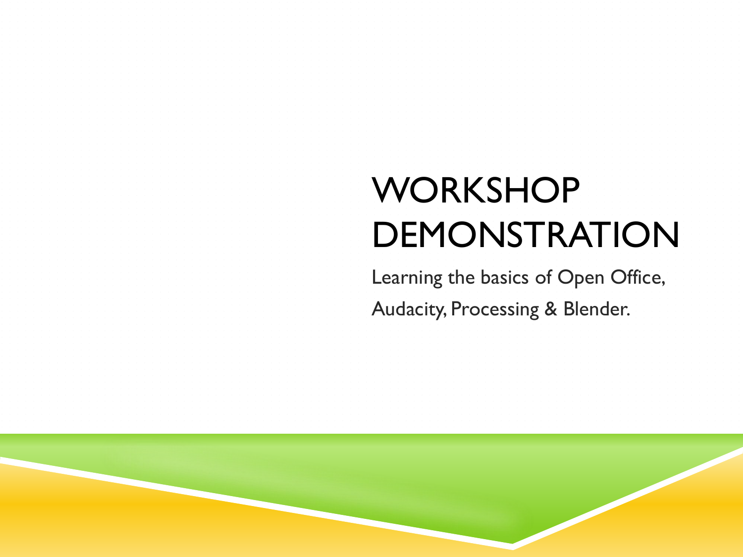# **WORKSHOP** DEMONSTRATION

Learning the basics of Open Office, Audacity, Processing & Blender.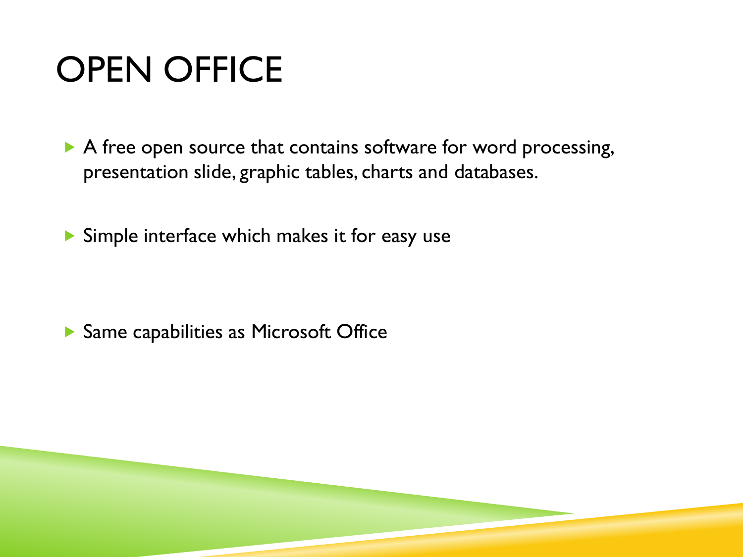## OPEN OFFICE

A free open source that contains software for word processing, presentation slide, graphic tables, charts and databases.

Simple interface which makes it for easy use

▶ Same capabilities as Microsoft Office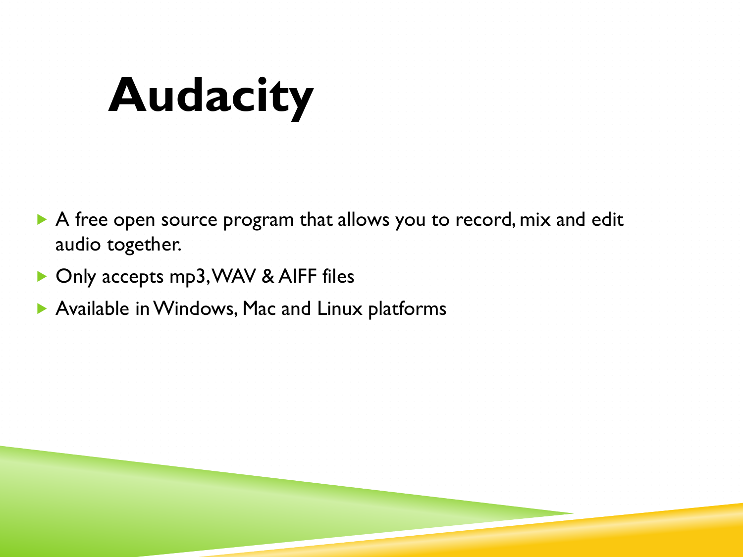# **Audacity**

- A free open source program that allows you to record, mix and edit audio together.
- ▶ Only accepts mp3, WAV & AIFF files
- Available in Windows, Mac and Linux platforms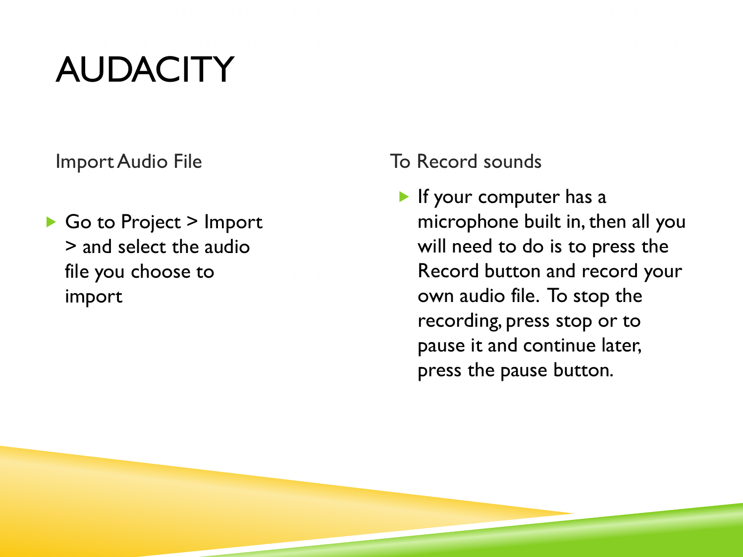## AUDACITY

▶ Go to Project > Import > and select the audio file you choose to import

Import Audio File **To Record sounds** 

If your computer has a microphone built in, then all you will need to do is to press the Record button and record your own audio file. To stop the recording, press stop or to pause it and continue later, press the pause button.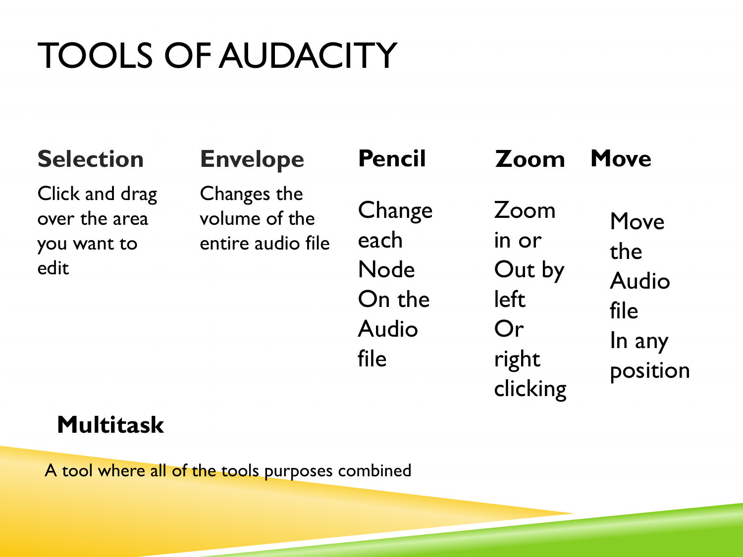# TOOLS OF AUDACITY

### **Selection Envelope**

Click and drag over the area you want to edit

Changes the volume of the entire audio file

**Change** each Node On the Audio

file

Zoom in or Out by left Or right clicking

**Pencil Zoom Move**

Move the Audio file In any position

### **Multitask**

A tool where all of the tools purposes combined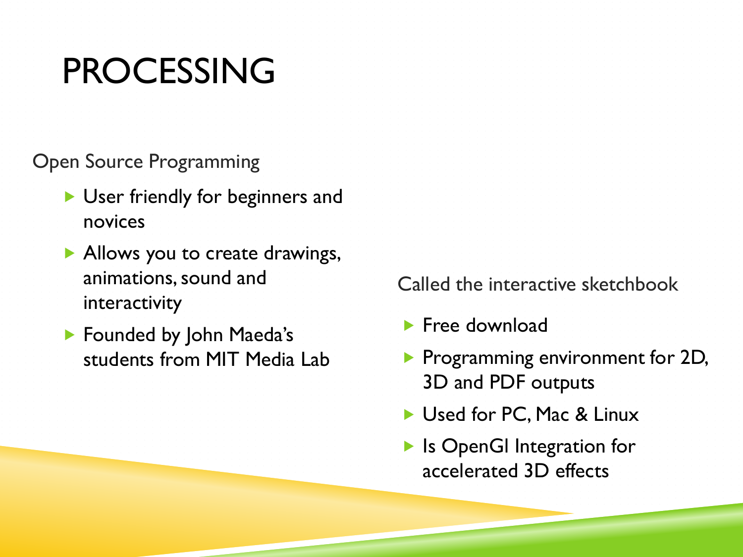### PROCESSING

Open Source Programming

- User friendly for beginners and novices
- Allows you to create drawings, animations, sound and interactivity
- **Founded by John Maeda's** students from MIT Media Lab

Called the interactive sketchbook

- $\blacktriangleright$  Free download
- **Programming environment for 2D,** 3D and PDF outputs
- Used for PC, Mac & Linux
- ▶ Is OpenGI Integration for accelerated 3D effects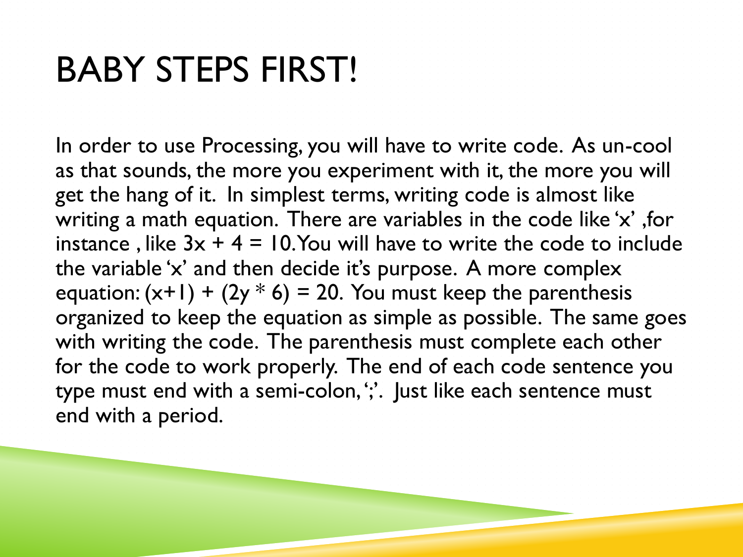## BABY STEPS FIRST!

In order to use Processing, you will have to write code. As un-cool as that sounds, the more you experiment with it, the more you will get the hang of it. In simplest terms, writing code is almost like writing a math equation. There are variables in the code like 'x' ,for instance, like  $3x + 4 = 10$ . You will have to write the code to include the variable 'x' and then decide it's purpose. A more complex equation:  $(x+1) + (2y * 6) = 20$ . You must keep the parenthesis organized to keep the equation as simple as possible. The same goes with writing the code. The parenthesis must complete each other for the code to work properly. The end of each code sentence you type must end with a semi-colon, ';'. Just like each sentence must end with a period.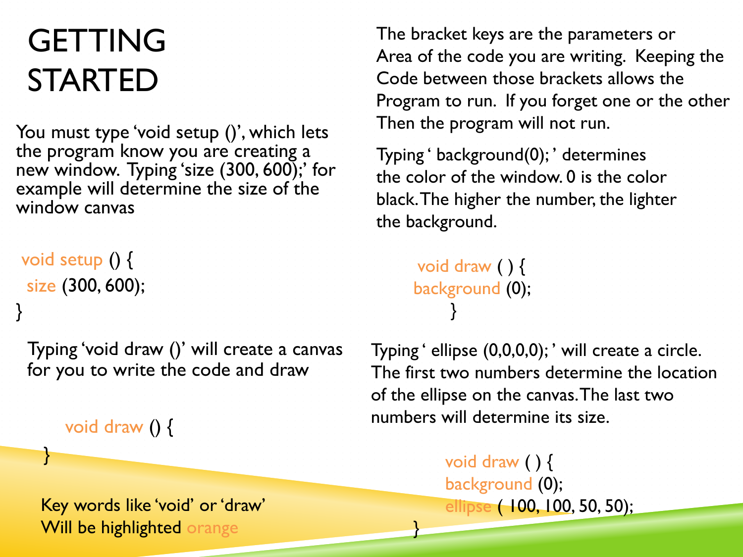### **GETTING** STARTED

You must type 'void setup ()', which lets the program know you are creating a new window. Typing 'size (300, 600);' for example will determine the size of the window canvas

void setup () { size (300, 600);

}

}

Typing 'void draw ()' will create a canvas for you to write the code and draw

void draw () {

Key words like 'void' or 'draw' Will be highlighted orange

The bracket keys are the parameters or Area of the code you are writing. Keeping the Code between those brackets allows the Program to run. If you forget one or the other Then the program will not run.

Typing ' background(0); ' determines the color of the window. 0 is the color black. The higher the number, the lighter the background.

```
 void draw ( ) { 
background (0); 
     }
```
}

Typing ' ellipse (0,0,0,0); ' will create a circle. The first two numbers determine the location of the ellipse on the canvas. The last two numbers will determine its size.

> void draw ( ) { background (0); ellipse ( 100, 100, 50, 50);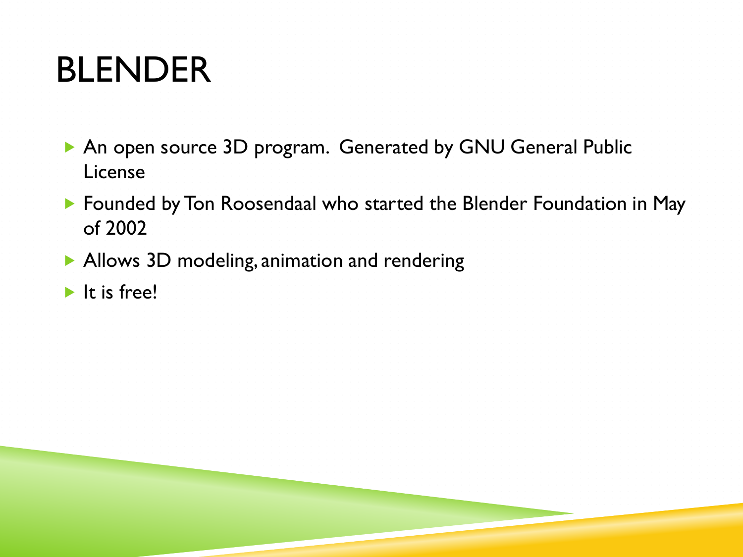### BLENDER

- ▶ An open source 3D program. Generated by GNU General Public License
- **Founded by Ton Roosendaal who started the Blender Foundation in May** of 2002
- Allows 3D modeling, animation and rendering
- $\blacktriangleright$  It is free!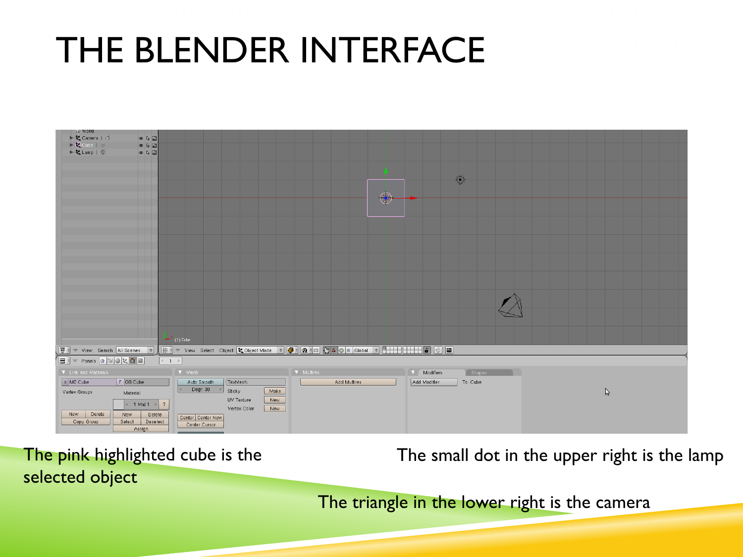### THE BLENDER INTERFACE



The pink highlighted cube is the selected object

The small dot in the upper right is the lamp

The triangle in the lower right is the camera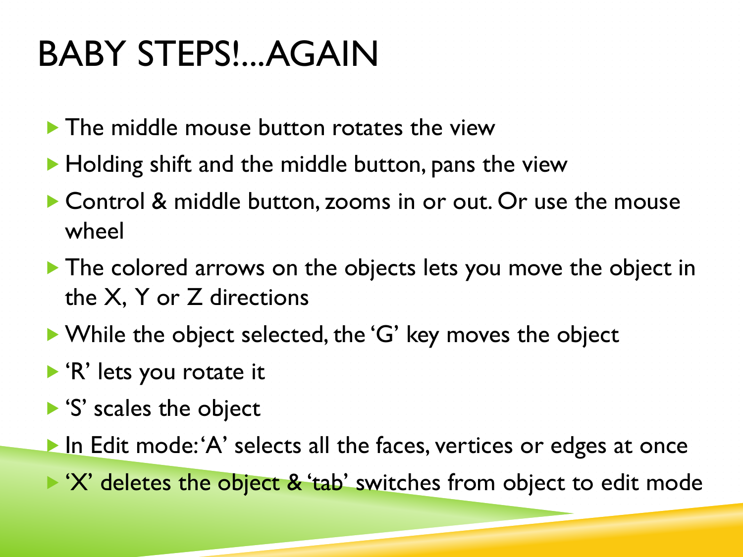## BABY STEPS!...AGAIN

- The middle mouse button rotates the view
- $\blacktriangleright$  Holding shift and the middle button, pans the view
- ▶ Control & middle button, zooms in or out. Or use the mouse wheel
- The colored arrows on the objects lets you move the object in the X, Y or Z directions
- ▶ While the object selected, the 'G' key moves the object
- ▶ 'R' lets you rotate it
- S' scales the object
- In Edit mode: 'A' selects all the faces, vertices or edges at once
- $\triangleright$  'X' deletes the object & 'tab' switches from object to edit mode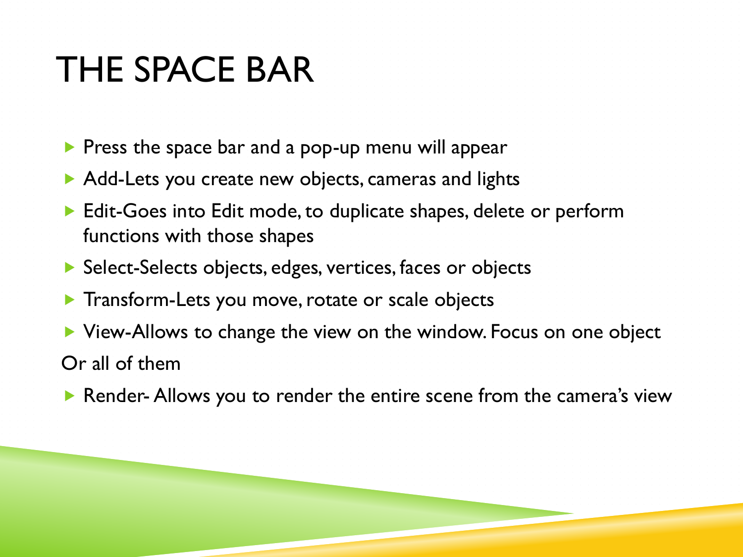### THE SPACE BAR

- $\triangleright$  Press the space bar and a pop-up menu will appear
- Add-Lets you create new objects, cameras and lights
- **Edit-Goes into Edit mode, to duplicate shapes, delete or perform** functions with those shapes
- ▶ Select-Selects objects, edges, vertices, faces or objects
- **Transform-Lets you move, rotate or scale objects**
- ▶ View-Allows to change the view on the window. Focus on one object Or all of them
- ▶ Render- Allows you to render the entire scene from the camera's view